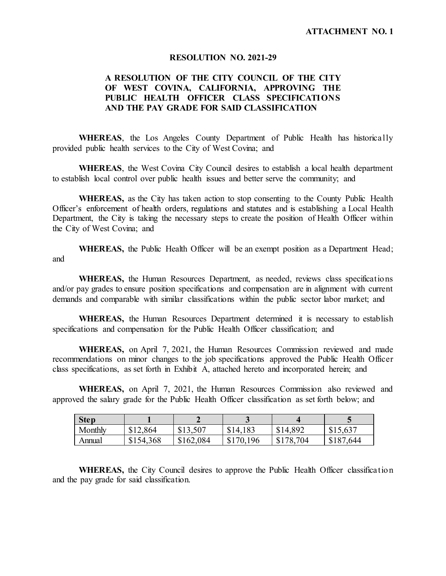#### **RESOLUTION NO. 2021-29**

### **A RESOLUTION OF THE CITY COUNCIL OF THE CITY OF WEST COVINA, CALIFORNIA, APPROVING THE PUBLIC HEALTH OFFICER CLASS SPECIFICATIONS AND THE PAY GRADE FOR SAID CLASSIFICATION**

**WHEREAS**, the Los Angeles County Department of Public Health has historically provided public health services to the City of West Covina; and

**WHEREAS**, the West Covina City Council desires to establish a local health department to establish local control over public health issues and better serve the community; and

**WHEREAS,** as the City has taken action to stop consenting to the County Public Health Officer's enforcement of health orders, regulations and statutes and is establishing a Local Health Department, the City is taking the necessary steps to create the position of Health Officer within the City of West Covina; and

**WHEREAS,** the Public Health Officer will be an exempt position as a Department Head; and

**WHEREAS,** the Human Resources Department, as needed, reviews class specifications and/or pay grades to ensure position specifications and compensation are in alignment with current demands and comparable with similar classifications within the public sector labor market; and

**WHEREAS,** the Human Resources Department determined it is necessary to establish specifications and compensation for the Public Health Officer classification; and

**WHEREAS,** on April 7, 2021, the Human Resources Commission reviewed and made recommendations on minor changes to the job specifications approved the Public Health Officer class specifications, as set forth in Exhibit A, attached hereto and incorporated herein; and

**WHEREAS,** on April 7, 2021, the Human Resources Commission also reviewed and approved the salary grade for the Public Health Officer classification as set forth below; and

| <b>Step</b> |           |           |           |           |               |
|-------------|-----------|-----------|-----------|-----------|---------------|
| Monthly     | \$12,864  | \$13,507  | \$14,183  | \$14,892  | \$15,637      |
| Annual      | \$154,368 | \$162,084 | \$170,196 | \$178,704 | 644,<br>\$187 |

 **WHEREAS,** the City Council desires to approve the Public Health Officer classification and the pay grade for said classification.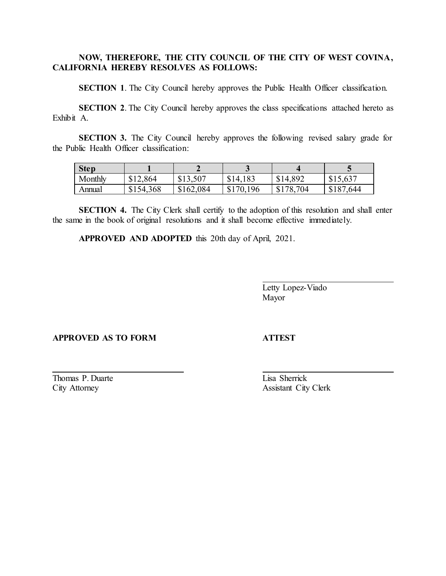## **NOW, THEREFORE, THE CITY COUNCIL OF THE CITY OF WEST COVINA, CALIFORNIA HEREBY RESOLVES AS FOLLOWS:**

**SECTION 1.** The City Council hereby approves the Public Health Officer classification.

**SECTION 2.** The City Council hereby approves the class specifications attached hereto as Exhibit A.

**SECTION 3.** The City Council hereby approves the following revised salary grade for the Public Health Officer classification:

| <b>Step</b> |           |           |           |           |               |
|-------------|-----------|-----------|-----------|-----------|---------------|
| Monthly     | \$12,864  | \$13,507  | \$14,183  | \$14,892  | \$15,637      |
| Annual      | \$154,368 | \$162,084 | \$170,196 | \$178,704 | ,644<br>\$187 |

**SECTION 4.** The City Clerk shall certify to the adoption of this resolution and shall enter the same in the book of original resolutions and it shall become effective immediately.

**APPROVED AND ADOPTED** this 20th day of April, 2021.

Letty Lopez-Viado Mayor

### **APPROVED AS TO FORM ATTEST**

Thomas P. Duarte Lisa Sherrick

 $\overline{a}$ 

 $\overline{a}$ 

City Attorney Assistant City Clerk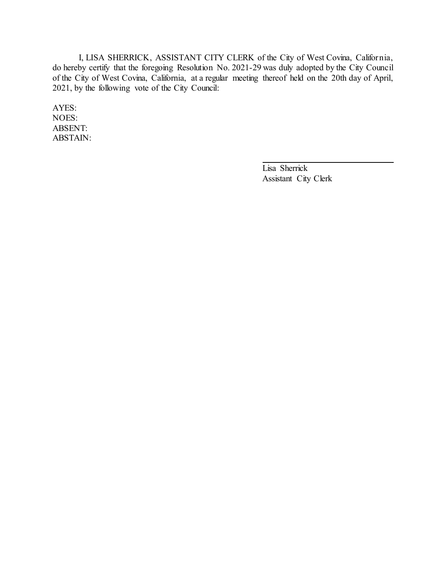I, LISA SHERRICK, ASSISTANT CITY CLERK of the City of West Covina, California, do hereby certify that the foregoing Resolution No. 2021-29 was duly adopted by the City Council of the City of West Covina, California, at a regular meeting thereof held on the 20th day of April, 2021, by the following vote of the City Council:

AYES: NOES: ABSENT: ABSTAIN:

> Lisa Sherrick Assistant City Clerk

 $\overline{a}$